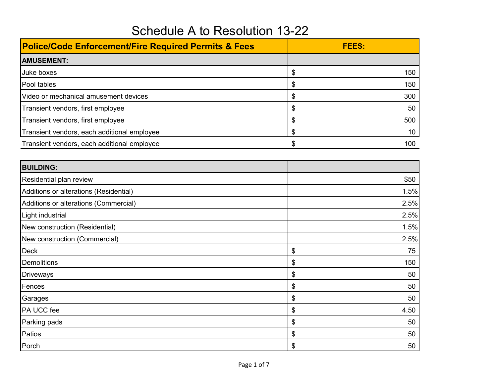| <b>Police/Code Enforcement/Fire Required Permits &amp; Fees</b> | <b>FEES:</b> |
|-----------------------------------------------------------------|--------------|
| <b>AMUSEMENT:</b>                                               |              |
| Juke boxes                                                      | \$<br>150    |
| Pool tables                                                     | \$<br>150    |
| Video or mechanical amusement devices                           | \$<br>300    |
| Transient vendors, first employee                               | \$<br>50     |
| Transient vendors, first employee                               | \$<br>500    |
| Transient vendors, each additional employee                     | \$<br>10     |
| Transient vendors, each additional employee                     | \$<br>100    |
| <b>BUILDING:</b>                                                |              |
| Residential plan review                                         | \$50         |
| Additions or alterations (Residential)                          | 1.5%         |
| Additions or alterations (Commercial)                           | 2.5%         |
| Light industrial                                                | 2.5%         |
| New construction (Residential)                                  | 1.5%         |
| New construction (Commercial)                                   | 2.5%         |
| <b>Deck</b>                                                     | \$<br>75     |
| <b>Demolitions</b>                                              | \$<br>150    |
| <b>Driveways</b>                                                | \$<br>50     |
| Fences                                                          | \$<br>50     |
| Garages                                                         | \$<br>50     |
| PA UCC fee                                                      | \$<br>4.50   |
| Parking pads                                                    | \$<br>50     |
| Patios                                                          | \$<br>50     |
| Porch                                                           | \$<br>50     |

## Schedule A to Resolution 13-22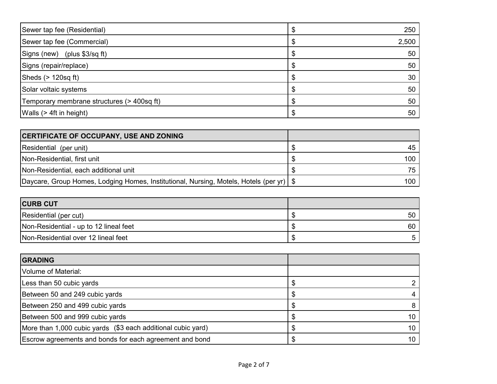| Sewer tap fee (Residential)                | 250   |
|--------------------------------------------|-------|
| Sewer tap fee (Commercial)                 | 2,500 |
| Signs (new) (plus \$3/sq ft)               | 50    |
| Signs (repair/replace)                     | 50    |
| Sheds $(> 120$ sq ft)                      | 30    |
| Solar voltaic systems                      | 50    |
| Temporary membrane structures (> 400sq ft) | 50    |
| Walls (> 4ft in height)                    | 50    |

| <b>CERTIFICATE OF OCCUPANY, USE AND ZONING</b>                                            |     |
|-------------------------------------------------------------------------------------------|-----|
| Residential (per unit)                                                                    |     |
| Non-Residential, first unit                                                               | 100 |
| Non-Residential, each additional unit                                                     | 75. |
| Daycare, Group Homes, Lodging Homes, Institutional, Nursing, Motels, Hotels (per yr)   \$ | 100 |

| <b>CURB CUT</b>                        |     |
|----------------------------------------|-----|
| Residential (per cut)                  | 50. |
| Non-Residential - up to 12 lineal feet | 60  |
| Non-Residential over 12 lineal feet    |     |

| <b>GRADING</b>                                               |  |
|--------------------------------------------------------------|--|
| Volume of Material:                                          |  |
| Less than 50 cubic yards                                     |  |
| Between 50 and 249 cubic yards                               |  |
| Between 250 and 499 cubic yards                              |  |
| Between 500 and 999 cubic yards                              |  |
| More than 1,000 cubic yards (\$3 each additional cubic yard) |  |
| Escrow agreements and bonds for each agreement and bond      |  |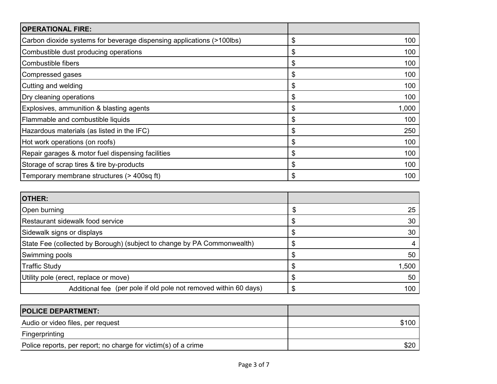| <b>OPERATIONAL FIRE:</b>                                              |             |
|-----------------------------------------------------------------------|-------------|
| Carbon dioxide systems for beverage dispensing applications (>100lbs) | \$<br>100   |
| Combustible dust producing operations                                 | \$<br>100   |
| Combustible fibers                                                    | \$<br>100   |
| Compressed gases                                                      | \$<br>100   |
| Cutting and welding                                                   | \$<br>100   |
| Dry cleaning operations                                               | \$<br>100   |
| Explosives, ammunition & blasting agents                              | \$<br>1,000 |
| Flammable and combustible liquids                                     | \$<br>100   |
| Hazardous materials (as listed in the IFC)                            | \$<br>250   |
| Hot work operations (on roofs)                                        | \$<br>100   |
| Repair garages & motor fuel dispensing facilities                     | \$<br>100   |
| Storage of scrap tires & tire by-products                             | \$<br>100   |
| Temporary membrane structures (> 400sq ft)                            | \$<br>100   |

| <b>OTHER:</b>                                                           |       |
|-------------------------------------------------------------------------|-------|
| Open burning                                                            | 25    |
| Restaurant sidewalk food service                                        | 30    |
| Sidewalk signs or displays                                              | 30    |
| State Fee (collected by Borough) (subject to change by PA Commonwealth) |       |
| Swimming pools                                                          | 50    |
| <b>Traffic Study</b>                                                    | 1,500 |
| Utility pole (erect, replace or move)                                   | 50    |
| Additional fee (per pole if old pole not removed within 60 days)        | 100   |

| <b>POLICE DEPARTMENT:</b>                                      |       |
|----------------------------------------------------------------|-------|
| Audio or video files, per request                              | \$100 |
| Fingerprinting                                                 |       |
| Police reports, per report; no charge for victim(s) of a crime | \$20  |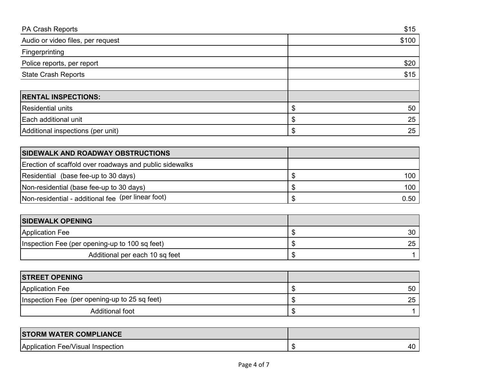| <b>PA Crash Reports</b>           | \$15  |
|-----------------------------------|-------|
| Audio or video files, per request | \$100 |
| Fingerprinting                    |       |
| Police reports, per report        | \$20  |
| <b>State Crash Reports</b>        | \$15  |
|                                   |       |
| <b>RENTAL INSPECTIONS:</b>        |       |
| <b>Residential units</b>          | 50    |
| Each additional unit              | 25    |
| Additional inspections (per unit) | 25    |

| <b>SIDEWALK AND ROADWAY OBSTRUCTIONS</b>                |       |
|---------------------------------------------------------|-------|
| Erection of scaffold over roadways and public sidewalks |       |
| Residential (base fee-up to 30 days)                    | 100 l |
| Non-residential (base fee-up to 30 days)                | 100 l |
| Non-residential - additional fee (per linear foot)      | 0.50  |

| <b>SIDEWALK OPENING</b>                        |    |
|------------------------------------------------|----|
| <b>Application Fee</b>                         | 30 |
| Inspection Fee (per opening-up to 100 sq feet) | 25 |
| Additional per each 10 sq feet                 |    |

| <b>STREET OPENING</b>                         |    |
|-----------------------------------------------|----|
| <b>Application Fee</b>                        | 50 |
| Inspection Fee (per opening-up to 25 sq feet) | 25 |
| Additional foot                               |    |

| <b>STORM WATER COMPLIANCE</b>     |  |
|-----------------------------------|--|
| Application Fee/Visual Inspection |  |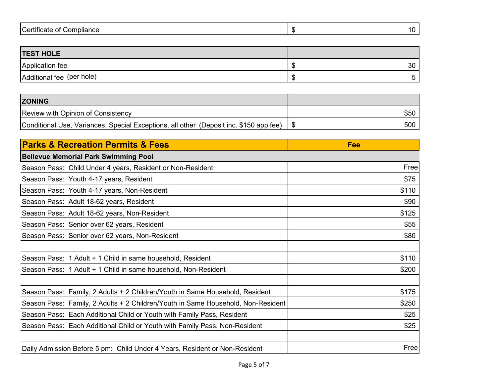| ∼ו<br>$\cdot$<br>.<br>ompliance<br>.<br>.om<br>σr<br>тсате<br>ו שכו גוו<br>◡<br>$\sim$ |  |
|----------------------------------------------------------------------------------------|--|
|                                                                                        |  |

| <b>TEST HOLE</b>          |    |
|---------------------------|----|
| Application fee           | 30 |
| Additional fee (per hole) |    |

| <b>ZONING</b>                                                                          |      |
|----------------------------------------------------------------------------------------|------|
| Review with Opinion of Consistency                                                     | \$50 |
| Conditional Use, Variances, Special Exceptions, all other (Deposit inc. \$150 app fee) | 500  |

| <b>Parks &amp; Recreation Permits &amp; Fees</b>                                 | Fee   |
|----------------------------------------------------------------------------------|-------|
| <b>Bellevue Memorial Park Swimming Pool</b>                                      |       |
| Season Pass: Child Under 4 years, Resident or Non-Resident                       | Free  |
| Season Pass: Youth 4-17 years, Resident                                          | \$75  |
| Season Pass: Youth 4-17 years, Non-Resident                                      | \$110 |
| Season Pass: Adult 18-62 years, Resident                                         | \$90  |
| Season Pass: Adult 18-62 years, Non-Resident                                     | \$125 |
| Season Pass: Senior over 62 years, Resident                                      | \$55  |
| Season Pass: Senior over 62 years, Non-Resident                                  | \$80  |
|                                                                                  |       |
| Season Pass: 1 Adult + 1 Child in same household, Resident                       | \$110 |
| Season Pass: 1 Adult + 1 Child in same household, Non-Resident                   | \$200 |
|                                                                                  |       |
| Season Pass: Family, 2 Adults + 2 Children/Youth in Same Household, Resident     | \$175 |
| Season Pass: Family, 2 Adults + 2 Children/Youth in Same Household, Non-Resident | \$250 |
| Season Pass: Each Additional Child or Youth with Family Pass, Resident           | \$25  |
| Season Pass: Each Additional Child or Youth with Family Pass, Non-Resident       | \$25  |
|                                                                                  |       |
| Daily Admission Before 5 pm: Child Under 4 Years, Resident or Non-Resident       | Free  |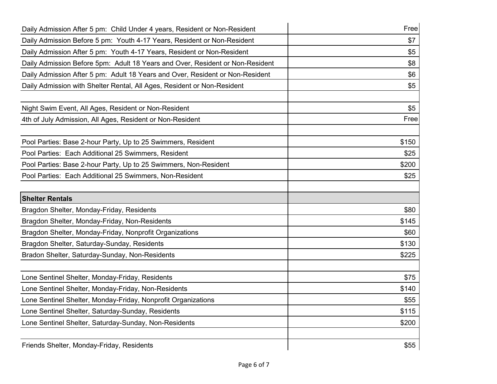| Daily Admission After 5 pm: Child Under 4 years, Resident or Non-Resident     | Free  |
|-------------------------------------------------------------------------------|-------|
| Daily Admission Before 5 pm: Youth 4-17 Years, Resident or Non-Resident       | \$7   |
| Daily Admission After 5 pm: Youth 4-17 Years, Resident or Non-Resident        | \$5   |
| Daily Admission Before 5pm: Adult 18 Years and Over, Resident or Non-Resident | \$8   |
| Daily Admission After 5 pm: Adult 18 Years and Over, Resident or Non-Resident | \$6   |
| Daily Admission with Shelter Rental, All Ages, Resident or Non-Resident       | \$5   |
| Night Swim Event, All Ages, Resident or Non-Resident                          | \$5   |
| 4th of July Admission, All Ages, Resident or Non-Resident                     | Free  |
| Pool Parties: Base 2-hour Party, Up to 25 Swimmers, Resident                  | \$150 |
| Pool Parties: Each Additional 25 Swimmers, Resident                           | \$25  |
| Pool Parties: Base 2-hour Party, Up to 25 Swimmers, Non-Resident              | \$200 |
| Pool Parties: Each Additional 25 Swimmers, Non-Resident                       | \$25  |
| <b>Shelter Rentals</b>                                                        |       |
| Bragdon Shelter, Monday-Friday, Residents                                     | \$80  |
| Bragdon Shelter, Monday-Friday, Non-Residents                                 | \$145 |
| Bragdon Shelter, Monday-Friday, Nonprofit Organizations                       | \$60  |
| Bragdon Shelter, Saturday-Sunday, Residents                                   | \$130 |
| Bradon Shelter, Saturday-Sunday, Non-Residents                                | \$225 |
| Lone Sentinel Shelter, Monday-Friday, Residents                               | \$75  |
| Lone Sentinel Shelter, Monday-Friday, Non-Residents                           | \$140 |
| Lone Sentinel Shelter, Monday-Friday, Nonprofit Organizations                 | \$55  |
| Lone Sentinel Shelter, Saturday-Sunday, Residents                             | \$115 |
| Lone Sentinel Shelter, Saturday-Sunday, Non-Residents                         | \$200 |
| Friends Shelter, Monday-Friday, Residents                                     | \$55  |